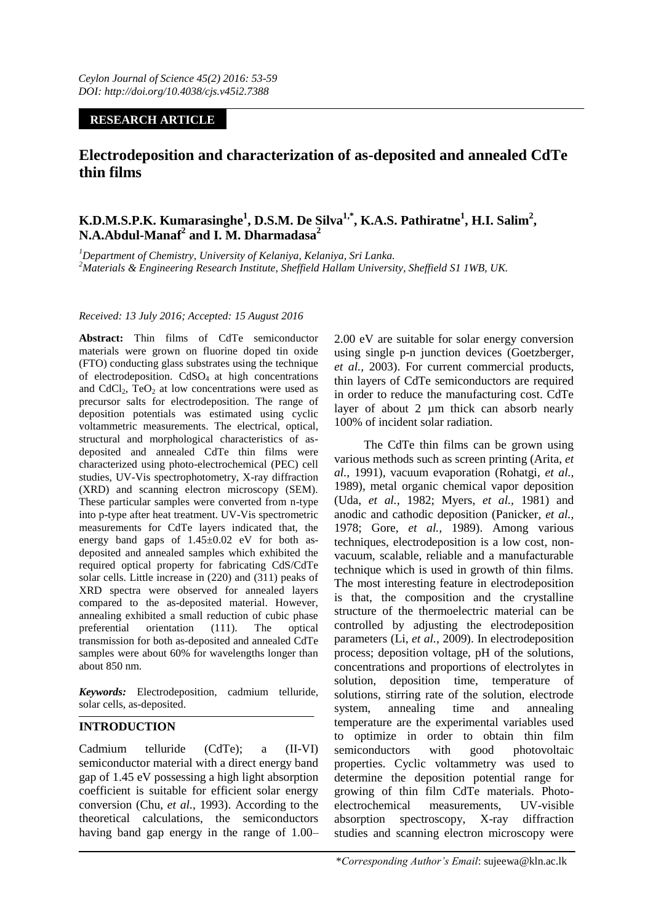## **RESEARCH ARTICLE**

# **Electrodeposition and characterization of as-deposited and annealed CdTe thin films**

## **K.D.M.S.P.K. Kumarasinghe<sup>1</sup> , D.S.M. De Silva1,\* , K.A.S. Pathiratne<sup>1</sup> , H.I. Salim<sup>2</sup> , N.A.Abdul-Manaf<sup>2</sup> and I. M. Dharmadasa<sup>2</sup>**

*<sup>1</sup>Department of Chemistry, University of Kelaniya, Kelaniya, Sri Lanka. <sup>2</sup>Materials & Engineering Research Institute, Sheffield Hallam University, Sheffield S1 1WB, UK.*

#### *Received: 13 July 2016; Accepted: 15 August 2016*

**Abstract:** Thin films of CdTe semiconductor materials were grown on fluorine doped tin oxide (FTO) conducting glass substrates using the technique of electrodeposition.  $CdSO<sub>4</sub>$  at high concentrations and CdCl<sub>2</sub>, TeO<sub>2</sub> at low concentrations were used as precursor salts for electrodeposition. The range of deposition potentials was estimated using cyclic voltammetric measurements. The electrical, optical, structural and morphological characteristics of asdeposited and annealed CdTe thin films were characterized using photo-electrochemical (PEC) cell studies, UV-Vis spectrophotometry, X-ray diffraction (XRD) and scanning electron microscopy (SEM). These particular samples were converted from n-type into p-type after heat treatment. UV-Vis spectrometric measurements for CdTe layers indicated that, the energy band gaps of  $1.45\pm0.02$  eV for both asdeposited and annealed samples which exhibited the required optical property for fabricating CdS/CdTe solar cells. Little increase in (220) and (311) peaks of XRD spectra were observed for annealed layers compared to the as-deposited material. However, annealing exhibited a small reduction of cubic phase preferential orientation (111). The optical transmission for both as-deposited and annealed CdTe samples were about 60% for wavelengths longer than about 850 nm.

*Keywords:* Electrodeposition, cadmium telluride, solar cells, as-deposited.

## **INTRODUCTION**

Cadmium telluride (CdTe); a (II-VI) semiconductor material with a direct energy band gap of 1.45 eV possessing a high light absorption coefficient is suitable for efficient solar energy conversion (Chu, *et al.,* 1993). According to the theoretical calculations, the semiconductors having band gap energy in the range of 1.00–

2.00 eV are suitable for solar energy conversion using single p-n junction devices (Goetzberger, *et al.,* 2003). For current commercial products, thin layers of CdTe semiconductors are required in order to reduce the manufacturing cost. CdTe layer of about 2 µm thick can absorb nearly 100% of incident solar radiation.

The CdTe thin films can be grown using various methods such as screen printing (Arita, *et al.,* 1991), vacuum evaporation (Rohatgi, *et al.,*  1989), metal organic chemical vapor deposition (Uda, *et al.,* 1982; Myers, *et al.,* 1981) and anodic and cathodic deposition (Panicker, *et al.,*  1978; Gore, *et al.,* 1989). Among various techniques, electrodeposition is a low cost, nonvacuum, scalable, reliable and a manufacturable technique which is used in growth of thin films. The most interesting feature in electrodeposition is that, the composition and the crystalline structure of the thermoelectric material can be controlled by adjusting the electrodeposition parameters (Li, *et al.,* 2009). In electrodeposition process; deposition voltage, pH of the solutions, concentrations and proportions of electrolytes in solution, deposition time, temperature of solutions, stirring rate of the solution, electrode system, annealing time and annealing temperature are the experimental variables used to optimize in order to obtain thin film semiconductors with good photovoltaic properties. Cyclic voltammetry was used to determine the deposition potential range for growing of thin film CdTe materials. Photoelectrochemical measurements, UV-visible absorption spectroscopy, X-ray diffraction studies and scanning electron microscopy were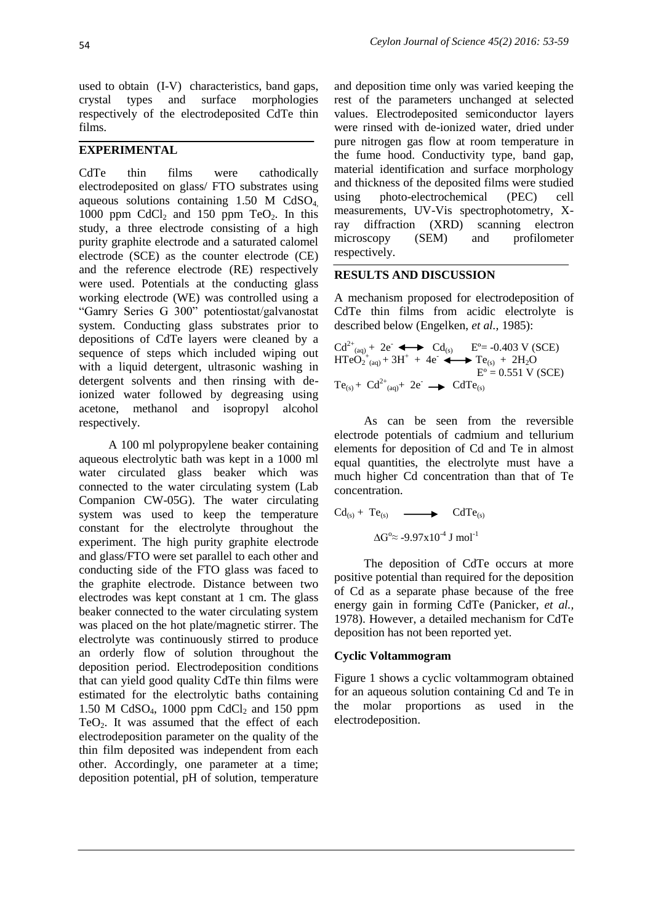used to obtain (I-V) characteristics, band gaps, crystal types and surface morphologies respectively of the electrodeposited CdTe thin films.

## **EXPERIMENTAL**

CdTe thin films were cathodically electrodeposited on glass/ FTO substrates using aqueous solutions containing  $1.50$  M CdSO<sub>4</sub> 1000 ppm CdCl<sub>2</sub> and 150 ppm TeO<sub>2</sub>. In this study, a three electrode consisting of a high purity graphite electrode and a saturated calomel electrode (SCE) as the counter electrode (CE) and the reference electrode (RE) respectively were used. Potentials at the conducting glass working electrode (WE) was controlled using a "Gamry Series G 300" potentiostat/galvanostat system. Conducting glass substrates prior to depositions of CdTe layers were cleaned by a sequence of steps which included wiping out with a liquid detergent, ultrasonic washing in detergent solvents and then rinsing with deionized water followed by degreasing using acetone, methanol and isopropyl alcohol respectively.

A 100 ml polypropylene beaker containing aqueous electrolytic bath was kept in a 1000 ml water circulated glass beaker which was connected to the water circulating system (Lab Companion CW-05G). The water circulating system was used to keep the temperature constant for the electrolyte throughout the experiment. The high purity graphite electrode and glass/FTO were set parallel to each other and conducting side of the FTO glass was faced to the graphite electrode. Distance between two electrodes was kept constant at 1 cm. The glass beaker connected to the water circulating system was placed on the hot plate/magnetic stirrer. The electrolyte was continuously stirred to produce an orderly flow of solution throughout the deposition period. Electrodeposition conditions that can yield good quality CdTe thin films were estimated for the electrolytic baths containing 1.50 M CdSO<sub>4</sub>, 1000 ppm CdCl<sub>2</sub> and 150 ppm TeO<sub>2</sub>. It was assumed that the effect of each electrodeposition parameter on the quality of the thin film deposited was independent from each other. Accordingly, one parameter at a time; deposition potential, pH of solution, temperature

and deposition time only was varied keeping the rest of the parameters unchanged at selected values. Electrodeposited semiconductor layers were rinsed with de-ionized water, dried under pure nitrogen gas flow at room temperature in the fume hood. Conductivity type, band gap, material identification and surface morphology and thickness of the deposited films were studied using photo-electrochemical (PEC) cell measurements, UV-Vis spectrophotometry, Xray diffraction (XRD) scanning electron microscopy (SEM) and profilometer respectively.

### **RESULTS AND DISCUSSION**

A mechanism proposed for electrodeposition of CdTe thin films from acidic electrolyte is described below (Engelken, *et al.,* 1985):

$$
Cd^{2+}_{(aq)} + 2e^- \longrightarrow Cd_{(s)} \quad E^o = -0.403 \text{ V (SCE)}
$$
  
HTeO<sub>2</sub><sup>+</sup><sub>(aq)</sub> + 3H<sup>+</sup> + 4e^- \longrightarrow Te\_{(s)} + 2H<sub>2</sub>O  
E<sup>o</sup> = 0.551 \text{ V (SCE)}  
Te<sub>(s)</sub> + Cd<sup>2+</sup><sub>(aq)</sub> + 2e^- \longrightarrow CdTe<sub>(s)</sub>

As can be seen from the reversible electrode potentials of cadmium and tellurium elements for deposition of Cd and Te in almost equal quantities, the electrolyte must have a much higher Cd concentration than that of Te concentration.

$$
Cd_{(s)} + Te_{(s)} \longrightarrow CdTe_{(s)}
$$

 $\Delta G^{\circ}$ ≈ -9.97x10<sup>-4</sup> J mol<sup>-1</sup>

The deposition of CdTe occurs at more positive potential than required for the deposition of Cd as a separate phase because of the free energy gain in forming CdTe (Panicker, *et al.,*  1978). However, a detailed mechanism for CdTe deposition has not been reported yet.

#### **Cyclic Voltammogram**

Figure 1 shows a cyclic voltammogram obtained for an aqueous solution containing Cd and Te in the molar proportions as used in the electrodeposition.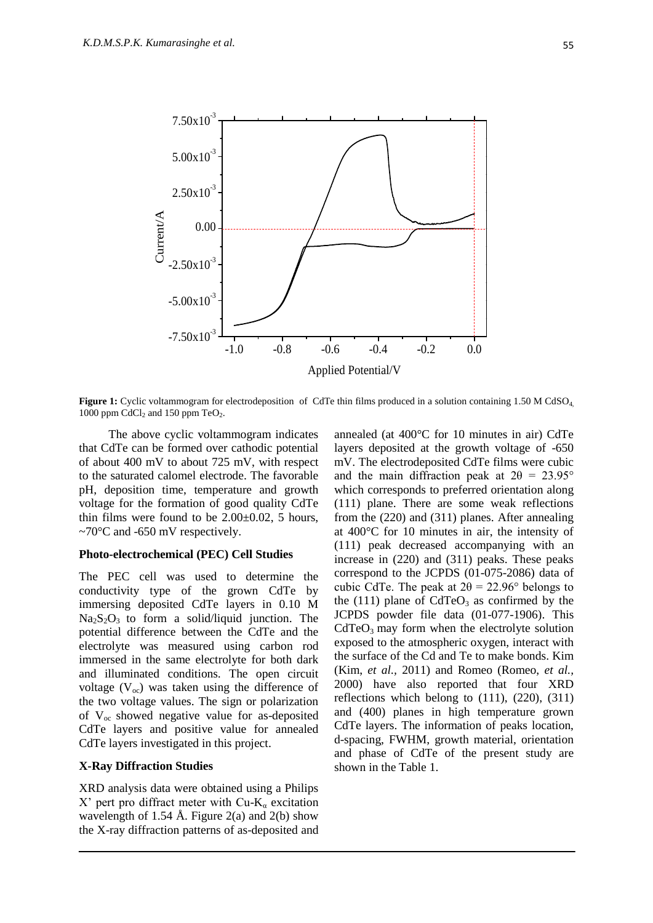

**Figure 1:** Cyclic voltammogram for electrodeposition of CdTe thin films produced in a solution containing 1.50 M CdSO<sub>4</sub>, 1000 ppm  $CdCl<sub>2</sub>$  and 150 ppm  $TeO<sub>2</sub>$ .

The above cyclic voltammogram indicates that CdTe can be formed over cathodic potential of about 400 mV to about 725 mV, with respect to the saturated calomel electrode. The favorable pH, deposition time, temperature and growth voltage for the formation of good quality CdTe thin films were found to be 2.00±0.02, 5 hours,  $\sim$ 70°C and -650 mV respectively.

#### **Photo-electrochemical (PEC) Cell Studies**

The PEC cell was used to determine the conductivity type of the grown CdTe by immersing deposited CdTe layers in 0.10 M  $Na<sub>2</sub>S<sub>2</sub>O<sub>3</sub>$  to form a solid/liquid junction. The potential difference between the CdTe and the electrolyte was measured using carbon rod immersed in the same electrolyte for both dark and illuminated conditions. The open circuit voltage  $(V<sub>oc</sub>)$  was taken using the difference of the two voltage values. The sign or polarization of  $V_{\text{oc}}$  showed negative value for as-deposited CdTe layers and positive value for annealed CdTe layers investigated in this project.

#### **X-Ray Diffraction Studies**

XRD analysis data were obtained using a Philips X' pert pro diffract meter with  $Cu-K_{\alpha}$  excitation wavelength of 1.54 Å. Figure 2(a) and 2(b) show the X-ray diffraction patterns of as-deposited and

annealed (at 400°C for 10 minutes in air) CdTe layers deposited at the growth voltage of -650 mV. The electrodeposited CdTe films were cubic and the main diffraction peak at  $2\theta = 23.95^{\circ}$ which corresponds to preferred orientation along (111) plane. There are some weak reflections from the (220) and (311) planes. After annealing at 400°C for 10 minutes in air, the intensity of (111) peak decreased accompanying with an increase in (220) and (311) peaks. These peaks correspond to the JCPDS (01-075-2086) data of cubic CdTe. The peak at  $2\theta = 22.96^{\circ}$  belongs to the (111) plane of  $CdTeO<sub>3</sub>$  as confirmed by the JCPDS powder file data (01-077-1906). This CdTeO<sub>3</sub> may form when the electrolyte solution exposed to the atmospheric oxygen, interact with the surface of the Cd and Te to make bonds. Kim (Kim, *et al.,* 2011) and Romeo (Romeo, *et al.,*  2000) have also reported that four XRD reflections which belong to (111), (220), (311) and (400) planes in high temperature grown CdTe layers. The information of peaks location, d-spacing, FWHM, growth material, orientation and phase of CdTe of the present study are shown in the Table 1.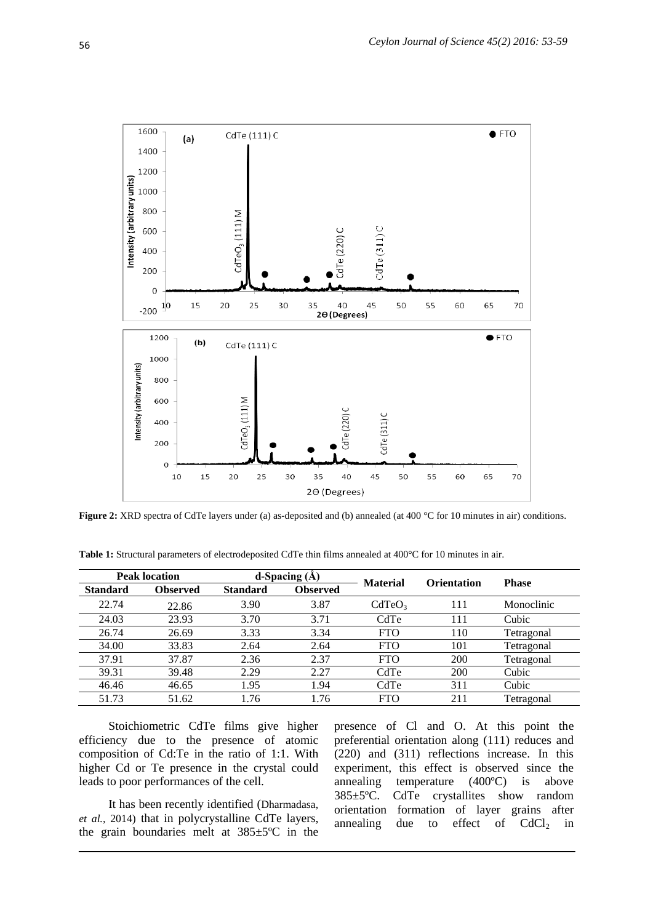

**Figure 2:** XRD spectra of CdTe layers under (a) as-deposited and (b) annealed (at 400 °C for 10 minutes in air) conditions.

| <b>Peak location</b> |          | d-Spacing $(A)$ |                 | <b>Material</b>    | <b>Orientation</b> | <b>Phase</b> |
|----------------------|----------|-----------------|-----------------|--------------------|--------------------|--------------|
| <b>Standard</b>      | Observed | <b>Standard</b> | <b>Observed</b> |                    |                    |              |
| 22.74                | 22.86    | 3.90            | 3.87            | CdTeO <sub>3</sub> | 111                | Monoclinic   |
| 24.03                | 23.93    | 3.70            | 3.71            | CdTe               | 111                | Cubic        |
| 26.74                | 26.69    | 3.33            | 3.34            | <b>FTO</b>         | 110                | Tetragonal   |
| 34.00                | 33.83    | 2.64            | 2.64            | <b>FTO</b>         | 101                | Tetragonal   |
| 37.91                | 37.87    | 2.36            | 2.37            | <b>FTO</b>         | 200                | Tetragonal   |
| 39.31                | 39.48    | 2.29            | 2.27            | CdTe               | 200                | Cubic        |
| 46.46                | 46.65    | 1.95            | 1.94            | CdTe               | 311                | Cubic        |
| 51.73                | 51.62    | .76             | 1.76            | <b>FTO</b>         | 211                | Tetragonal   |

**Table 1:** Structural parameters of electrodeposited CdTe thin films annealed at 400°C for 10 minutes in air.

Stoichiometric CdTe films give higher efficiency due to the presence of atomic composition of Cd:Te in the ratio of 1:1. With higher Cd or Te presence in the crystal could leads to poor performances of the cell.

It has been recently identified (Dharmadasa, *et al.,* 2014) that in polycrystalline CdTe layers, the grain boundaries melt at 385±5ºC in the

presence of Cl and O. At this point the preferential orientation along (111) reduces and (220) and (311) reflections increase. In this experiment, this effect is observed since the annealing temperature (400ºC) is above 385±5ºC. CdTe crystallites show random orientation formation of layer grains after annealing due to effect of  $CdCl<sub>2</sub>$  in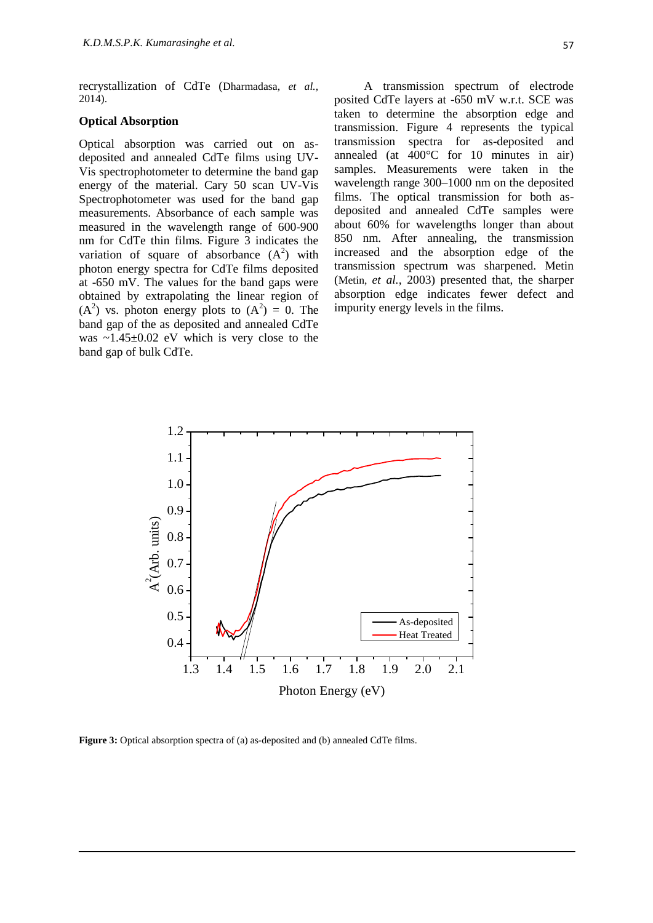recrystallization of CdTe (Dharmadasa, *et al.,*  2014).

#### **Optical Absorption**

Optical absorption was carried out on asdeposited and annealed CdTe films using UV-Vis spectrophotometer to determine the band gap energy of the material. Cary 50 scan UV-Vis Spectrophotometer was used for the band gap measurements. Absorbance of each sample was measured in the wavelength range of 600-900 nm for CdTe thin films. Figure 3 indicates the variation of square of absorbance  $(A^2)$  with photon energy spectra for CdTe films deposited at -650 mV. The values for the band gaps were obtained by extrapolating the linear region of  $(A<sup>2</sup>)$  vs. photon energy plots to  $(A<sup>2</sup>) = 0$ . The band gap of the as deposited and annealed CdTe was  $\sim 1.45 \pm 0.02$  eV which is very close to the band gap of bulk CdTe.

A transmission spectrum of electrode posited CdTe layers at -650 mV w.r.t. SCE was taken to determine the absorption edge and transmission. Figure 4 represents the typical transmission spectra for as-deposited and annealed (at 400°C for 10 minutes in air) samples. Measurements were taken in the wavelength range 300–1000 nm on the deposited films. The optical transmission for both asdeposited and annealed CdTe samples were about 60% for wavelengths longer than about 850 nm. After annealing, the transmission increased and the absorption edge of the transmission spectrum was sharpened. Metin (Metin, *et al.,* 2003) presented that, the sharper absorption edge indicates fewer defect and impurity energy levels in the films.



Figure 3: Optical absorption spectra of (a) as-deposited and (b) annealed CdTe films.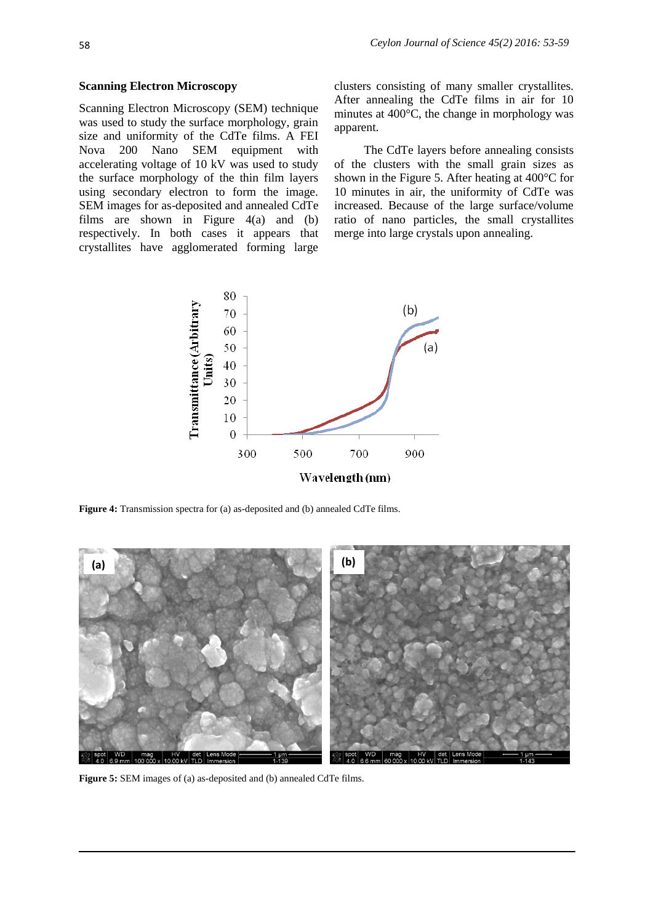#### **Scanning Electron Microscopy**

Scanning Electron Microscopy (SEM) technique was used to study the surface morphology, grain size and uniformity of the CdTe films. A FEI Nova 200 Nano SEM equipment with accelerating voltage of 10 kV was used to study the surface morphology of the thin film layers using secondary electron to form the image. SEM images for as-deposited and annealed CdTe films are shown in Figure 4(a) and (b) respectively. In both cases it appears that crystallites have agglomerated forming large

clusters consisting of many smaller crystallites. After annealing the CdTe films in air for 10 minutes at 400°C, the change in morphology was apparent.

The CdTe layers before annealing consists of the clusters with the small grain sizes as shown in the Figure 5. After heating at 400°C for 10 minutes in air, the uniformity of CdTe was increased. Because of the large surface/volume ratio of nano particles, the small crystallites merge into large crystals upon annealing.



**Figure 4:** Transmission spectra for (a) as-deposited and (b) annealed CdTe films.



**Figure 5:** SEM images of (a) as-deposited and (b) annealed CdTe films.